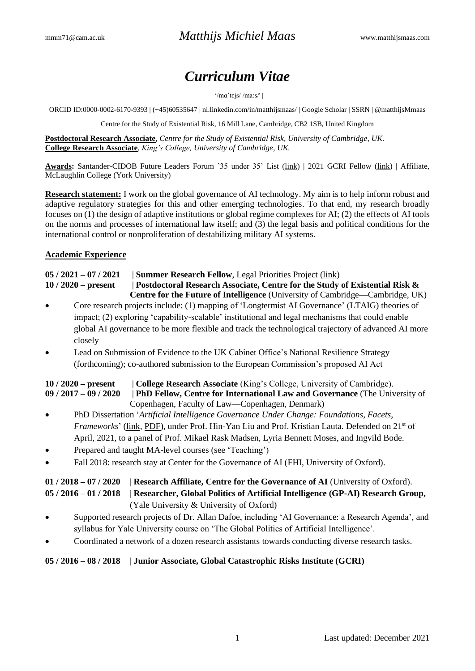[mmm71@cam.ac.uk](mailto:mmm71@cam.ac.uk) *Matthijs Michiel Maas* [www.matthijsmaas.com](http://www.matthijsmaas.com/)

# *Curriculum Vitae*

| '/mɑˈtɛi̯s/ /maːs/' |

ORCID ID:0000-0002-6170-9393 | (+45)60535647 [| nl.linkedin.com/in/matthijsmaas/](http://nl.linkedin.com/in/matthijsmaas/) [| Google Scholar](https://scholar.google.dk/citations?user=Fe64DJQAAAAJ&hl=en) | [SSRN](https://papers.ssrn.com/sol3/cf_dev/AbsByAuth.cfm?per_id=2918001) | [@matthijsMmaas](https://twitter.com/matthijsMmaas)

Centre for the Study of Existential Risk, 16 Mill Lane, Cambridge, CB2 1SB, United Kingdom

**Postdoctoral Research Associate***, Centre for the Study of Existential Risk, University of Cambridge, UK.*  **College Research Associate***, King's College, University of Cambridge, UK.*

**Awards:** Santander-CIDOB Future Leaders Forum '35 under 35' List [\(link\)](https://www.cidob.org/en/events/thematic_lines_of_research/cidob/santander_cidob_35_under_35_list2) | 2021 GCRI Fellow [\(link\)](https://gcrinstitute.org/the-inaugural-2021-gcri-fellowship-program/) | Affiliate, McLaughlin College (York University)

**Research statement:** I work on the global governance of AI technology. My aim is to help inform robust and adaptive regulatory strategies for this and other emerging technologies. To that end, my research broadly focuses on (1) the design of adaptive institutions or global regime complexes for AI; (2) the effects of AI tools on the norms and processes of international law itself; and (3) the legal basis and political conditions for the international control or nonproliferation of destabilizing military AI systems.

### **Academic Experience**

**05 / 2021 – 07 / 2021** | **Summer Research Fellow**, Legal Priorities Project [\(link\)](https://www.legalpriorities.org/team/matthijs-maas.html) **10 / 2020 – present** | **Postdoctoral Research Associate, Centre for the Study of Existential Risk & Centre for the Future of Intelligence** (University of Cambridge—Cambridge, UK)

- Core research projects include: (1) mapping of 'Longtermist AI Governance' (LTAIG) theories of impact; (2) exploring 'capability-scalable' institutional and legal mechanisms that could enable global AI governance to be more flexible and track the technological trajectory of advanced AI more closely
- Lead on Submission of Evidence to the UK Cabinet Office's National Resilience Strategy (forthcoming); co-authored submission to the European Commission's proposed AI Act

**10 / 2020 – present** | **College Research Associate** (King's College, University of Cambridge). **09 / 2017 – 09 / 2020** | **PhD Fellow, Centre for International Law and Governance** (The University of Copenhagen, Faculty of Law—Copenhagen, Denmark)

- PhD Dissertation '*Artificial Intelligence Governance Under Change: Foundations, Facets, Frameworks*' [\(link,](https://papers.ssrn.com/sol3/papers.cfm?abstract_id=3833395) [PDF\)](https://drive.google.com/file/d/1HQLm3kEALoo1FF2dv_6wQBxhpDzO-EA7/view?usp=sharing), under Prof. Hin-Yan Liu and Prof. Kristian Lauta. Defended on 21<sup>st</sup> of April, 2021, to a panel of Prof. Mikael Rask Madsen, Lyria Bennett Moses, and Ingvild Bode.
- Prepared and taught MA-level courses (see 'Teaching')
- Fall 2018: research stay at Center for the Governance of AI (FHI, University of Oxford).

| $01/2018 - 07/2020$ Research Affiliate, Centre for the Governance of AI (University of Oxford).          |
|----------------------------------------------------------------------------------------------------------|
| $0.05 / 2016 - 01 / 2018$ Researcher, Global Politics of Artificial Intelligence (GP-AI) Research Group, |
| (Yale University $\&$ University of Oxford)                                                              |

- Supported research projects of Dr. Allan Dafoe, including 'AI Governance: a Research Agenda', and syllabus for Yale University course on 'The Global Politics of Artificial Intelligence'.
- Coordinated a network of a dozen research assistants towards conducting diverse research tasks.

### **05 / 2016 – 08 / 2018** | **Junior Associate, Global Catastrophic Risks Institute (GCRI)**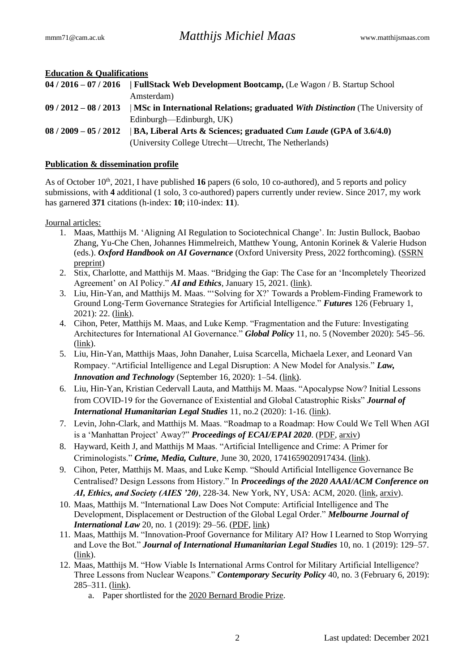**Education & Qualifications**

|                     | 04/2016 - 07/2016   FullStack Web Development Bootcamp, (Le Wagon / B. Startup School             |
|---------------------|---------------------------------------------------------------------------------------------------|
|                     | Amsterdam)                                                                                        |
|                     | $09/2012-08/2013$   MSc in International Relations; graduated With Distinction (The University of |
|                     | Edinburgh—Edinburgh, UK)                                                                          |
| $08/2009 - 05/2012$ | BA, Liberal Arts & Sciences; graduated <i>Cum Laude</i> (GPA of 3.6/4.0)                          |
|                     | (University College Utrecht—Utrecht, The Netherlands)                                             |

### **Publication & dissemination profile**

As of October 10<sup>th</sup>, 2021, I have published **16** papers (6 solo, 10 co-authored), and 5 reports and policy submissions, with **4** additional (1 solo, 3 co-authored) papers currently under review. Since 2017, my work has garnered **371** citations (h-index: **10**; i10-index: **11**).

Journal articles:

- 1. Maas, Matthijs M. 'Aligning AI Regulation to Sociotechnical Change'. In: Justin Bullock, Baobao Zhang, Yu-Che Chen, Johannes Himmelreich, Matthew Young, Antonin Korinek & Valerie Hudson (eds.). *Oxford Handbook on AI Governance* (Oxford University Press, 2022 forthcoming). [\(SSRN](https://papers.ssrn.com/sol3/papers.cfm?abstract_id=3871635)  [preprint\)](https://papers.ssrn.com/sol3/papers.cfm?abstract_id=3871635)
- 2. Stix, Charlotte, and Matthijs M. Maas. "Bridging the Gap: The Case for an 'Incompletely Theorized Agreement' on AI Policy." **AI and Ethics**, January 15, 2021. [\(link\)](https://doi.org/10.1007/s43681-020-00037-w).
- 3. Liu, Hin-Yan, and Matthijs M. Maas. "'Solving for X?' Towards a Problem-Finding Framework to Ground Long-Term Governance Strategies for Artificial Intelligence." *Futures* 126 (February 1, 2021): 22. [\(link\)](https://doi.org/10.1016/j.futures.2020.102672).
- 4. Cihon, Peter, Matthijs M. Maas, and Luke Kemp. "Fragmentation and the Future: Investigating Architectures for International AI Governance." *Global Policy* 11, no. 5 (November 2020): 545–56. [\(link\)](https://doi.org/10.1111/1758-5899.12890).
- 5. Liu, Hin-Yan, Matthijs Maas, John Danaher, Luisa Scarcella, Michaela Lexer, and Leonard Van Rompaey. "Artificial Intelligence and Legal Disruption: A New Model for Analysis." *Law, Innovation and Technology* (September 16, 2020): 1–54. [\(link\)](https://doi.org/10.1080/17579961.2020.1815402).
- 6. Liu, Hin-Yan, Kristian Cedervall Lauta, and Matthijs M. Maas. "Apocalypse Now? Initial Lessons from COVID-19 for the Governance of Existential and Global Catastrophic Risks" *Journal of International Humanitarian Legal Studies* 11, no.2 (2020): 1-16. [\(link\)](https://doi.org/10.1163/18781527-01102004).
- 7. Levin, John-Clark, and Matthijs M. Maas. "Roadmap to a Roadmap: How Could We Tell When AGI is a 'Manhattan Project' Away?" *Proceedings of ECAI/EPAI 2020*. [\(PDF,](http://dmip.webs.upv.es/EPAI2020/papers/EPAI_2020_paper_11.pdf) [arxiv\)](https://arxiv.org/abs/2008.04701)
- 8. Hayward, Keith J, and Matthijs M Maas. "Artificial Intelligence and Crime: A Primer for Criminologists." *Crime, Media, Culture*, June 30, 2020, 1741659020917434. [\(link\)](https://doi.org/10.1177/1741659020917434).
- 9. Cihon, Peter, Matthijs M. Maas, and Luke Kemp. "Should Artificial Intelligence Governance Be Centralised? Design Lessons from History." In *Proceedings of the 2020 AAAI/ACM Conference on AI, Ethics, and Society (AIES '20)*, 228-34. New York, NY, USA: ACM, 2020. [\(link,](https://doi.org/10.1145/3375627.3375857) [arxiv\)](https://arxiv.org/abs/2001.03573).
- 10. Maas, Matthijs M. "International Law Does Not Compute: Artificial Intelligence and The Development, Displacement or Destruction of the Global Legal Order." *Melbourne Journal of International Law* 20, no. 1 (2019): 29–56. [\(PDF,](https://law.unimelb.edu.au/__data/assets/pdf_file/0005/3144308/Maas.pdf) [link\)](http://classic.austlii.edu.au/au/journals/MelbJIL/2019/3.html)
- 11. Maas, Matthijs M. "Innovation-Proof Governance for Military AI? How I Learned to Stop Worrying and Love the Bot." *Journal of International Humanitarian Legal Studies* 10, no. 1 (2019): 129–57. [\(link\)](https://doi.org/10.1163/18781527-01001006).
- 12. Maas, Matthijs M. "How Viable Is International Arms Control for Military Artificial Intelligence? Three Lessons from Nuclear Weapons." *Contemporary Security Policy* 40, no. 3 (February 6, 2019): 285–311. [\(link\)](https://doi.org/10.1080/13523260.2019.1576464).
	- a. Paper shortlisted for the [2020 Bernard Brodie Prize.](https://www.tandfonline.com/doi/full/10.1080/13523260.2020.1683995)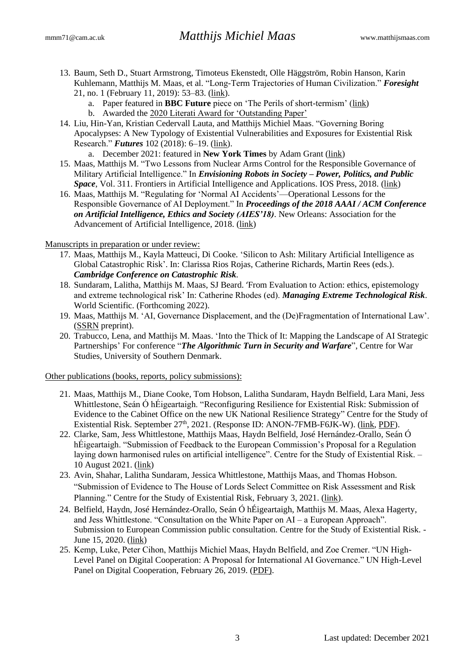- 13. Baum, Seth D., Stuart Armstrong, Timoteus Ekenstedt, Olle Häggström, Robin Hanson, Karin Kuhlemann, Matthijs M. Maas, et al. "Long-Term Trajectories of Human Civilization." *Foresight* 21, no. 1 (February 11, 2019): 53–83. [\(link\)](https://doi.org/10.1108/FS-04-2018-0037).
	- a. Paper featured in **BBC Future** piece on 'The Perils of short-termism' [\(link\)](http://www.bbc.com/future/story/20190109-the-perils-of-short-termism-civilisations-greatest-threat)
	- b. Awarded the [2020 Literati Award for 'Outstanding Paper'](https://www.emeraldgrouppublishing.com/journal/fs/literati-awards/foresight-literati-award-winners-2020)
- 14. Liu, Hin-Yan, Kristian Cedervall Lauta, and Matthijs Michiel Maas. "Governing Boring Apocalypses: A New Typology of Existential Vulnerabilities and Exposures for Existential Risk Research." *Futures* 102 (2018): 6–19. [\(link\)](https://doi.org/10.1016/j.futures.2018.04.009).
	- a. December 2021: featured in **New York Times** by Adam Grant [\(link\)](https://www.nytimes.com/2021/12/10/opinion/covid-omicron-psychology-fear.html)
- 15. Maas, Matthijs M. "Two Lessons from Nuclear Arms Control for the Responsible Governance of Military Artificial Intelligence." In *Envisioning Robots in Society – Power, Politics, and Public*  Space, Vol. 311. Frontiers in Artificial Intelligence and Applications. IOS Press, 2018. [\(link\)](https://doi.org/10.3233/978-1-61499-931-7-347)
- 16. Maas, Matthijs M. "Regulating for 'Normal AI Accidents'—Operational Lessons for the Responsible Governance of AI Deployment." In *Proceedings of the 2018 AAAI / ACM Conference on Artificial Intelligence, Ethics and Society (AIES'18)*. New Orleans: Association for the Advancement of Artificial Intelligence, 2018. [\(link\)](https://doi.org/10.1145/3278721.3278766)

Manuscripts in preparation or under review:

- 17. Maas, Matthijs M., Kayla Matteuci, Di Cooke. 'Silicon to Ash: Military Artificial Intelligence as Global Catastrophic Risk'. In: Clarissa Rios Rojas, Catherine Richards, Martin Rees (eds.). *Cambridge Conference on Catastrophic Risk.*
- 18. Sundaram, Lalitha, Matthijs M. Maas, SJ Beard. 'From Evaluation to Action: ethics, epistemology and extreme technological risk' In: Catherine Rhodes (ed). *Managing Extreme Technological Risk*. World Scientific. (Forthcoming 2022).
- 19. Maas, Matthijs M. 'AI, Governance Displacement, and the (De)Fragmentation of International Law'. [\(SSRN](https://papers.ssrn.com/sol3/papers.cfm?abstract_id=3806624) preprint).
- 20. Trabucco, Lena, and Matthijs M. Maas. 'Into the Thick of It: Mapping the Landscape of AI Strategic Partnerships' For conference "*The Algorithmic Turn in Security and Warfare*", Centre for War Studies, University of Southern Denmark.

Other publications (books, reports, policy submissions):

- 21. Maas, Matthijs M., Diane Cooke, Tom Hobson, Lalitha Sundaram, Haydn Belfield, Lara Mani, Jess Whittlestone, Seán Ó hÉigeartaigh. "Reconfiguring Resilience for Existential Risk: Submission of Evidence to the Cabinet Office on the new UK National Resilience Strategy" Centre for the Study of Existential Risk. September 27<sup>th</sup>, 2021. (Response ID: ANON-7FMB-F6JK-W). [\(link,](https://www.cser.ac.uk/resources/reconfiguring-resilience-existential-risk-submission-evidence-cabinet-office-new-uk-national-resilience-strategy/) [PDF\)](https://www.cser.ac.uk/media/uploads/files/Maas_et_al._2021_-_Reconfiguring_Resilience_for_ER_-_Submission_on_UK_National_Resilience_Strategy.pdf).
- 22. Clarke, Sam, Jess Whittlestone, Matthijs Maas, Haydn Belfield, José Hernández-Orallo, Seán Ó hÉigeartaigh. "Submission of Feedback to the European Commission's Proposal for a Regulation laying down harmonised rules on artificial intelligence". Centre for the Study of Existential Risk. – 10 August 2021. [\(link\)](https://www.cser.ac.uk/resources/feedback-european-regulation/%20/%20https:/ec.europa.eu/info/law/better-regulation/have-your-say/initiatives/12527-Artificial-intelligence-ethical-and-legal-requirements/F2665626_en)
- 23. Avin, Shahar, Lalitha Sundaram, Jessica Whittlestone, Matthijs Maas, and Thomas Hobson. "Submission of Evidence to The House of Lords Select Committee on Risk Assessment and Risk Planning." Centre for the Study of Existential Risk, February 3, 2021. [\(link\)](https://doi.org/10.17863/CAM.64180).
- 24. Belfield, Haydn, José Hernández-Orallo, Seán Ó hÉigeartaigh, Matthijs M. Maas, Alexa Hagerty, and Jess Whittlestone. "Consultation on the White Paper on AI – a European Approach". Submission to European Commission public consultation. Centre for the Study of Existential Risk. - June 15, 2020. [\(link\)](https://www.cser.ac.uk/news/response-european-commissions-consultation-ai/)
- 25. Kemp, Luke, Peter Cihon, Matthijs Michiel Maas, Haydn Belfield, and Zoe Cremer. "UN High-Level Panel on Digital Cooperation: A Proposal for International AI Governance." UN High-Level Panel on Digital Cooperation, February 26, 2019. [\(PDF\)](https://digitalcooperation.org/wp-content/uploads/2019/02/Luke_Kemp_Submission-to-the-UN-High-Level-Panel-on-Digital-Cooperation-2019-Kemp-et-al.pdf).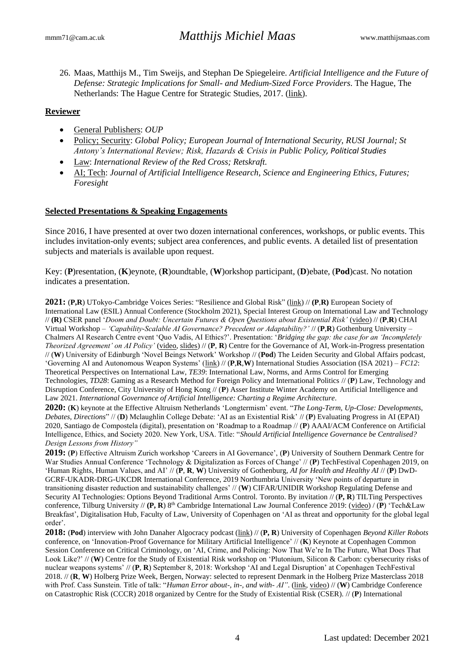26. Maas, Matthijs M., Tim Sweijs, and Stephan De Spiegeleire. *Artificial Intelligence and the Future of Defense: Strategic Implications for Small- and Medium-Sized Force Providers*. The Hague, The Netherlands: The Hague Centre for Strategic Studies, 2017. [\(link\)](http://hcss.nl/report/artificial-intelligence-and-future-defense).

# **Reviewer**

- General Publishers: *OUP*
- Policy; Security: *Global Policy; European Journal of International Security, RUSI Journal; St Antony's International Review; Risk, Hazards & Crisis in Public Policy, Political Studies*
- Law: *International Review of the Red Cross; Retskraft.*
- AI; Tech: *Journal of Artificial Intelligence Research, Science and Engineering Ethics, Futures; Foresight*

## **Selected Presentations & Speaking Engagements**

Since 2016, I have presented at over two dozen international conferences, workshops, or public events. This includes invitation-only events; subject area conferences, and public events. A detailed list of presentation subjects and materials is available upon request.

Key: (**P**)resentation, (**K**)eynote, (**R**)oundtable, (**W**)orkshop participant, (**D**)ebate, (**Pod**)cast. No notation indicates a presentation.

**2021:** (**P,R**) UTokyo-Cambridge Voices Series: "Resilience and Global Risk" [\(link\)](http://sp.t.u-tokyo.ac.jp/UTokyo_Cam/wp-content/uploads/2021/11/UTokyo-Cambridge-Voices%EF%BC%BF20211215flyer_rev%E3%80%80%E6%8E%B2%E8%BC%89%E7%94%A8.pdf) // **(P**,**R)** European Society of International Law (ESIL) Annual Conference (Stockholm 2021), Special Interest Group on International Law and Technology // **(R)** CSER panel '*Doom and Doubt: Uncertain Futures & Open Questions about Existential Risk'* [\(video\)](https://www.youtube.com/watch?v=RuaD1fnr6wQ) // (**P**,**R**) CHAI Virtual Workshop – *'Capability-Scalable AI Governance? Precedent or Adaptability?'* // (**P**,**R**) Gothenburg University – Chalmers AI Research Centre event 'Quo Vadis, AI Ethics?'. Presentation: '*Bridging the gap: the case for an 'Incompletely Theorized Agreement' on AI Policy'* [\(video,](https://www.youtube.com/watch?v=LRxMY6whdt4) [slides\)](https://www.matthijsmaas.com/uploads/21.06.07%20-%20Quo%20Vadis%20AI%20Ethics%20-%20Stix%20and%20Maas%20-%20Bridging%20the%20Gap%20-%20public.pdf) // (**P**, **R**) Centre for the Governance of AI, Work-in-Progress presentation // (**W**) University of Edinburgh 'Novel Beings Network' Workshop // (**Pod**) The Leiden Security and Global Affairs podcast, 'Governing AI and Autonomous Weapon Systems' [\(link\)](https://www.leidensecurityandglobalaffairs.nl/articles/podcast-episode-1-governing-ai-and-autonomous-weapon-systems-with-matthijs-maas-and-tim-wuisman) // (**P**,**R**,**W**) International Studies Association (ISA 2021) – *FC12*: Theoretical Perspectives on International Law, *TE39*: International Law, Norms, and Arms Control for Emerging Technologies, *TD28*: Gaming as a Research Method for Foreign Policy and International Politics // (**P**) Law, Technology and Disruption Conference, City University of Hong Kong // (**P**) Asser Institute Winter Academy on Artificial Intelligence and Law 2021. *International Governance of Artificial Intelligence: Charting a Regime Architecture.*

**2020:** (**K**) keynote at the Effective Altruism Netherlands 'Longtermism' event. "*The Long-Term, Up-Close: Developments, Debates, Directions*" // (**D**) Mclaughlin College Debate: 'AI as an Existential Risk' // (**P**) Evaluating Progress in AI (EPAI) 2020, Santiago de Compostela (digital), presentation on 'Roadmap to a Roadmap // (**P**) AAAI/ACM Conference on Artificial Intelligence, Ethics, and Society 2020. New York, USA. Title: "*Should Artificial Intelligence Governance be Centralised? Design Lessons from History"*

**2019:** (**P**) Effective Altruism Zurich workshop 'Careers in AI Governance', (**P**) University of Southern Denmark Centre for War Studies Annual Conference 'Technology & Digitalization as Forces of Change' // (**P**) TechFestival Copenhagen 2019, on 'Human Rights, Human Values, and AI' // (**P**, **R**, **W**) University of Gothenburg, *AI for Health and Healthy AI* // (**P**) DwD-GCRF-UKADR-DRG-UKCDR International Conference, 2019 Northumbria University 'New points of departure in transitioning disaster reduction and sustainability challenges' // (**W**) CIFAR/UNIDIR Workshop Regulating Defense and Security AI Technologies: Options Beyond Traditional Arms Control. Toronto. By invitation // (**P, R**) TILTing Perspectives conference, Tilburg University // (P, R) 8<sup>th</sup> Cambridge International Law Journal Conference 2019: [\(video\)](http://www.youtube.com/watch?v=a1gREVAQP58) / (P) 'Tech&Law Breakfast', Digitalisation Hub, Faculty of Law, University of Copenhagen on 'AI as threat and opportunity for the global legal order'.

**2018:** (**Pod**) interview with John Danaher Algocracy podcast [\(link\)](https://algocracy.wordpress.com/2018/12/02/episode-49-maas-on-ai-and-the-future-of-international-law/) // (**P, R**) University of Copenhagen *Beyond Killer Robots* conference, on 'Innovation-Proof Governance for Military Artificial Intelligence' // (**K**) Keynote at Copenhagen Common Session Conference on Critical Criminology, on 'AI, Crime, and Policing: Now That We're In The Future, What Does That Look Like?' // (**W**) Centre for the Study of Existential Risk workshop on 'Plutonium, Silicon & Carbon: cybersecurity risks of nuclear weapons systems' // (**P**, **R**) September 8, 2018: Workshop 'AI and Legal Disruption' at Copenhagen TechFestival 2018. // (**R**, **W**) Holberg Prize Week, Bergen, Norway: selected to represent Denmark in the Holberg Prize Masterclass 2018 with Prof. Cass Sunstein. Title of talk: "*Human Error about-, in-, and with-AI"*. [\(link,](http://link/) [video\)](https://www.youtube.com/watch?v=YjhY6mVG2_0&t=3392s) // (**W**) Cambridge Conference on Catastrophic Risk (CCCR) 2018 organized by Centre for the Study of Existential Risk (CSER). // (**P**) International